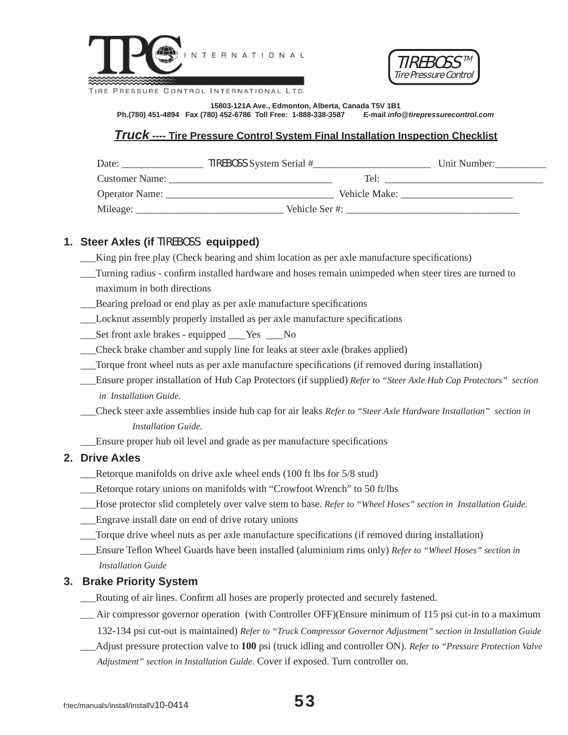



**15803-121A Ave., Edmonton, Alberta, Canada T5V 1B1 Ph.(780) 451-4894 Fax (780) 452-6786 Toll Free: 1-888-338-3587 E-mail** *info@tirepressurecontrol.com*

## *Truck* **---- Tire Pressure Control System Final Installation Inspection Checklist**

| Date:                 | <b>TIREBOSS</b> System Serial # | Unit Number: |
|-----------------------|---------------------------------|--------------|
| <b>Customer Name:</b> | Tel:                            |              |
| Operator Name:        | Vehicle Make:                   |              |
| Mileage:              | Vehicle Ser#:                   |              |

## **1. Steer Axles (if** TIREBOSS **equipped)**

- King pin free play (Check bearing and shim location as per axle manufacture specifications)
- \_\_\_Turning radius confi rm installed hardware and hoses remain unimpeded when steer tires are turned to maximum in both directions
- Bearing preload or end play as per axle manufacture specifications
- \_\_\_Locknut assembly properly installed as per axle manufacture specifi cations
- Set front axle brakes equipped <u>Ves No</u>
- \_\_\_Check brake chamber and supply line for leaks at steer axle (brakes applied)
- Torque front wheel nuts as per axle manufacture specifications (if removed during installation)
- \_\_\_Ensure proper installation of Hub Cap Protectors (if supplied) *Refer to "Steer Axle Hub Cap Protectors" section in Installation Guide.*
- \_\_\_Check steer axle assemblies inside hub cap for air leaks *Refer to "Steer Axle Hardware Installation" section in Installation Guide.*

Ensure proper hub oil level and grade as per manufacture specifications

#### **2. Drive Axles**

- \_\_\_Retorque manifolds on drive axle wheel ends (100 ft lbs for 5/8 stud)
- \_\_\_Retorque rotary unions on manifolds with "Crowfoot Wrench" to 50 ft/lbs
- \_\_\_Hose protector slid completely over valve stem to base. *Refer to "Wheel Hoses" section in Installation Guide.*
- \_\_\_Engrave install date on end of drive rotary unions
- \_\_\_Torque drive wheel nuts as per axle manufacture specifi cations (if removed during installation)
- \_\_\_Ensure Tefl on Wheel Guards have been installed (aluminium rims only) *Refer to "Wheel Hoses" section in Installation Guide*

#### **3. Brake Priority System**

- \_\_\_Routing of air lines. Confi rm all hoses are properly protected and securely fastened.
- \_\_\_ Air compressor governor operation (with Controller OFF)(Ensure minimum of 115 psi cut-in to a maximum

132-134 psi cut-out is maintained) *Refer to "Truck Compressor Governor Adjustment" section in Installation Guide*

 \_\_\_Adjust pressure protection valve to **100** psi (truck idling and controller ON). *Refer to "Pressure Protection Valve Adjustment" section in Installation Guide.* Cover if exposed. Turn controller on.